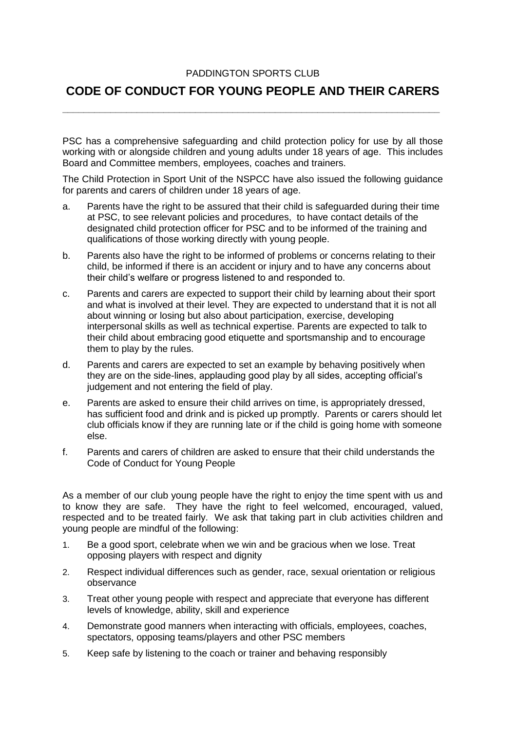## PADDINGTON SPORTS CLUB

## **CODE OF CONDUCT FOR YOUNG PEOPLE AND THEIR CARERS**

**\_\_\_\_\_\_\_\_\_\_\_\_\_\_\_\_\_\_\_\_\_\_\_\_\_\_\_\_\_\_\_\_\_\_\_\_\_\_\_\_\_\_\_\_\_\_\_\_\_\_\_\_\_\_\_\_\_\_\_\_\_\_\_\_\_\_\_\_\_\_\_**

PSC has a comprehensive safeguarding and child protection policy for use by all those working with or alongside children and young adults under 18 years of age. This includes Board and Committee members, employees, coaches and trainers.

The Child Protection in Sport Unit of the NSPCC have also issued the following guidance for parents and carers of children under 18 years of age.

- a. Parents have the right to be assured that their child is safeguarded during their time at PSC, to see relevant policies and procedures, to have contact details of the designated child protection officer for PSC and to be informed of the training and qualifications of those working directly with young people.
- b. Parents also have the right to be informed of problems or concerns relating to their child, be informed if there is an accident or injury and to have any concerns about their child's welfare or progress listened to and responded to.
- c. Parents and carers are expected to support their child by learning about their sport and what is involved at their level. They are expected to understand that it is not all about winning or losing but also about participation, exercise, developing interpersonal skills as well as technical expertise. Parents are expected to talk to their child about embracing good etiquette and sportsmanship and to encourage them to play by the rules.
- d. Parents and carers are expected to set an example by behaving positively when they are on the side-lines, applauding good play by all sides, accepting official's judgement and not entering the field of play.
- e. Parents are asked to ensure their child arrives on time, is appropriately dressed, has sufficient food and drink and is picked up promptly. Parents or carers should let club officials know if they are running late or if the child is going home with someone else.
- f. Parents and carers of children are asked to ensure that their child understands the Code of Conduct for Young People

As a member of our club young people have the right to enjoy the time spent with us and to know they are safe. They have the right to feel welcomed, encouraged, valued, respected and to be treated fairly. We ask that taking part in club activities children and young people are mindful of the following:

- 1. Be a good sport, celebrate when we win and be gracious when we lose. Treat opposing players with respect and dignity
- 2. Respect individual differences such as gender, race, sexual orientation or religious observance
- 3. Treat other young people with respect and appreciate that everyone has different levels of knowledge, ability, skill and experience
- 4. Demonstrate good manners when interacting with officials, employees, coaches, spectators, opposing teams/players and other PSC members
- 5. Keep safe by listening to the coach or trainer and behaving responsibly